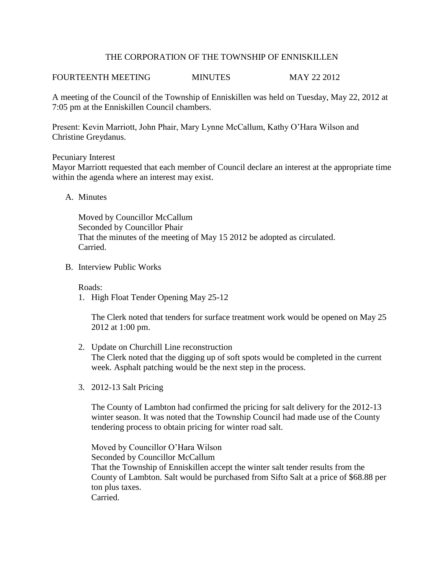## THE CORPORATION OF THE TOWNSHIP OF ENNISKILLEN

# FOURTEENTH MEETING MINUTES MAY 22 2012

A meeting of the Council of the Township of Enniskillen was held on Tuesday, May 22, 2012 at 7:05 pm at the Enniskillen Council chambers.

Present: Kevin Marriott, John Phair, Mary Lynne McCallum, Kathy O'Hara Wilson and Christine Greydanus.

#### Pecuniary Interest

Mayor Marriott requested that each member of Council declare an interest at the appropriate time within the agenda where an interest may exist.

## A. Minutes

Moved by Councillor McCallum Seconded by Councillor Phair That the minutes of the meeting of May 15 2012 be adopted as circulated. Carried.

B. Interview Public Works

Roads:

1. High Float Tender Opening May 25-12

The Clerk noted that tenders for surface treatment work would be opened on May 25 2012 at 1:00 pm.

- 2. Update on Churchill Line reconstruction The Clerk noted that the digging up of soft spots would be completed in the current week. Asphalt patching would be the next step in the process.
- 3. 2012-13 Salt Pricing

The County of Lambton had confirmed the pricing for salt delivery for the 2012-13 winter season. It was noted that the Township Council had made use of the County tendering process to obtain pricing for winter road salt.

Moved by Councillor O'Hara Wilson Seconded by Councillor McCallum That the Township of Enniskillen accept the winter salt tender results from the County of Lambton. Salt would be purchased from Sifto Salt at a price of \$68.88 per ton plus taxes. Carried.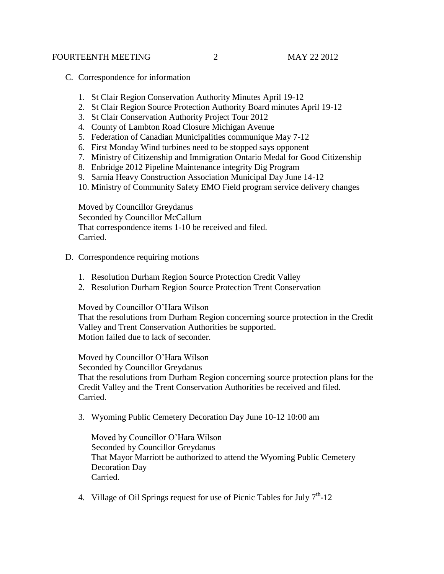### FOURTEENTH MEETING 2 MAY 22 2012

- C. Correspondence for information
	- 1. St Clair Region Conservation Authority Minutes April 19-12
	- 2. St Clair Region Source Protection Authority Board minutes April 19-12
	- 3. St Clair Conservation Authority Project Tour 2012
	- 4. County of Lambton Road Closure Michigan Avenue
	- 5. Federation of Canadian Municipalities communique May 7-12
	- 6. First Monday Wind turbines need to be stopped says opponent
	- 7. Ministry of Citizenship and Immigration Ontario Medal for Good Citizenship
	- 8. Enbridge 2012 Pipeline Maintenance integrity Dig Program
	- 9. Sarnia Heavy Construction Association Municipal Day June 14-12
	- 10. Ministry of Community Safety EMO Field program service delivery changes

Moved by Councillor Greydanus Seconded by Councillor McCallum That correspondence items 1-10 be received and filed. Carried.

- D. Correspondence requiring motions
	- 1. Resolution Durham Region Source Protection Credit Valley
	- 2. Resolution Durham Region Source Protection Trent Conservation

Moved by Councillor O'Hara Wilson

That the resolutions from Durham Region concerning source protection in the Credit Valley and Trent Conservation Authorities be supported. Motion failed due to lack of seconder.

Moved by Councillor O'Hara Wilson

Seconded by Councillor Greydanus

That the resolutions from Durham Region concerning source protection plans for the Credit Valley and the Trent Conservation Authorities be received and filed. Carried.

3. Wyoming Public Cemetery Decoration Day June 10-12 10:00 am

Moved by Councillor O'Hara Wilson Seconded by Councillor Greydanus That Mayor Marriott be authorized to attend the Wyoming Public Cemetery Decoration Day Carried.

4. Village of Oil Springs request for use of Picnic Tables for July  $7<sup>th</sup>$ -12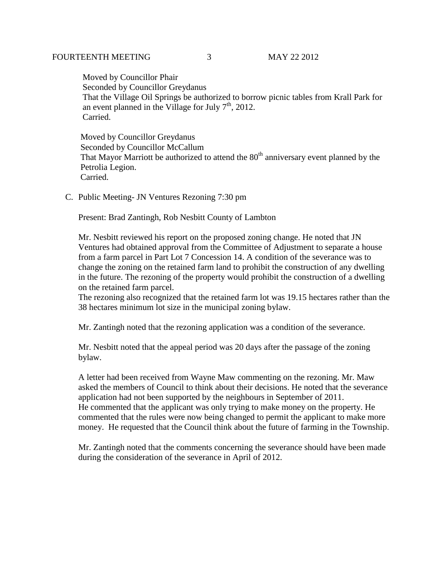### FOURTEENTH MEETING 3 MAY 22 2012

 Moved by Councillor Phair Seconded by Councillor Greydanus That the Village Oil Springs be authorized to borrow picnic tables from Krall Park for an event planned in the Village for July  $7<sup>th</sup>$ , 2012. Carried.

 Moved by Councillor Greydanus Seconded by Councillor McCallum That Mayor Marriott be authorized to attend the  $80<sup>th</sup>$  anniversary event planned by the Petrolia Legion. Carried.

C. Public Meeting- JN Ventures Rezoning 7:30 pm

Present: Brad Zantingh, Rob Nesbitt County of Lambton

Mr. Nesbitt reviewed his report on the proposed zoning change. He noted that JN Ventures had obtained approval from the Committee of Adjustment to separate a house from a farm parcel in Part Lot 7 Concession 14. A condition of the severance was to change the zoning on the retained farm land to prohibit the construction of any dwelling in the future. The rezoning of the property would prohibit the construction of a dwelling on the retained farm parcel.

The rezoning also recognized that the retained farm lot was 19.15 hectares rather than the 38 hectares minimum lot size in the municipal zoning bylaw.

Mr. Zantingh noted that the rezoning application was a condition of the severance.

Mr. Nesbitt noted that the appeal period was 20 days after the passage of the zoning bylaw.

A letter had been received from Wayne Maw commenting on the rezoning. Mr. Maw asked the members of Council to think about their decisions. He noted that the severance application had not been supported by the neighbours in September of 2011. He commented that the applicant was only trying to make money on the property. He commented that the rules were now being changed to permit the applicant to make more money. He requested that the Council think about the future of farming in the Township.

Mr. Zantingh noted that the comments concerning the severance should have been made during the consideration of the severance in April of 2012.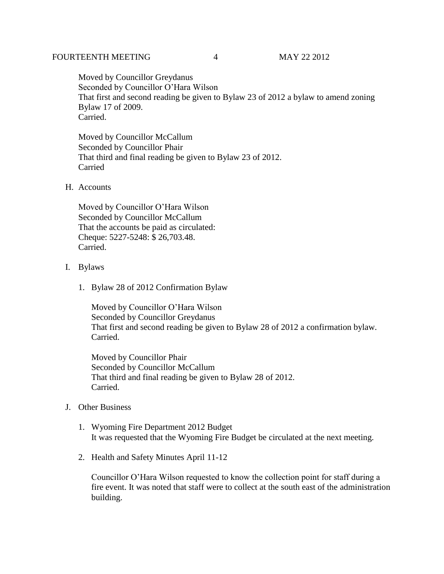## FOURTEENTH MEETING 4 MAY 22 2012

Moved by Councillor Greydanus Seconded by Councillor O'Hara Wilson That first and second reading be given to Bylaw 23 of 2012 a bylaw to amend zoning Bylaw 17 of 2009. Carried.

Moved by Councillor McCallum Seconded by Councillor Phair That third and final reading be given to Bylaw 23 of 2012. Carried

# H. Accounts

Moved by Councillor O'Hara Wilson Seconded by Councillor McCallum That the accounts be paid as circulated: Cheque: 5227-5248: \$ 26,703.48. Carried.

## I. Bylaws

1. Bylaw 28 of 2012 Confirmation Bylaw

Moved by Councillor O'Hara Wilson Seconded by Councillor Greydanus That first and second reading be given to Bylaw 28 of 2012 a confirmation bylaw. Carried.

Moved by Councillor Phair Seconded by Councillor McCallum That third and final reading be given to Bylaw 28 of 2012. Carried.

# J. Other Business

- 1. Wyoming Fire Department 2012 Budget It was requested that the Wyoming Fire Budget be circulated at the next meeting.
- 2. Health and Safety Minutes April 11-12

Councillor O'Hara Wilson requested to know the collection point for staff during a fire event. It was noted that staff were to collect at the south east of the administration building.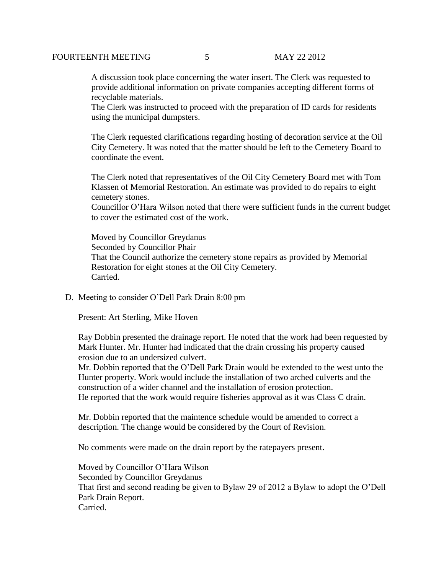A discussion took place concerning the water insert. The Clerk was requested to provide additional information on private companies accepting different forms of recyclable materials.

The Clerk was instructed to proceed with the preparation of ID cards for residents using the municipal dumpsters.

The Clerk requested clarifications regarding hosting of decoration service at the Oil City Cemetery. It was noted that the matter should be left to the Cemetery Board to coordinate the event.

 The Clerk noted that representatives of the Oil City Cemetery Board met with Tom Klassen of Memorial Restoration. An estimate was provided to do repairs to eight cemetery stones.

 Councillor O'Hara Wilson noted that there were sufficient funds in the current budget to cover the estimated cost of the work.

 Moved by Councillor Greydanus Seconded by Councillor Phair That the Council authorize the cemetery stone repairs as provided by Memorial Restoration for eight stones at the Oil City Cemetery. Carried.

D. Meeting to consider O'Dell Park Drain 8:00 pm

Present: Art Sterling, Mike Hoven

Ray Dobbin presented the drainage report. He noted that the work had been requested by Mark Hunter. Mr. Hunter had indicated that the drain crossing his property caused erosion due to an undersized culvert.

Mr. Dobbin reported that the O'Dell Park Drain would be extended to the west unto the Hunter property. Work would include the installation of two arched culverts and the construction of a wider channel and the installation of erosion protection. He reported that the work would require fisheries approval as it was Class C drain.

Mr. Dobbin reported that the maintence schedule would be amended to correct a description. The change would be considered by the Court of Revision.

No comments were made on the drain report by the ratepayers present.

Moved by Councillor O'Hara Wilson Seconded by Councillor Greydanus That first and second reading be given to Bylaw 29 of 2012 a Bylaw to adopt the O'Dell Park Drain Report. Carried.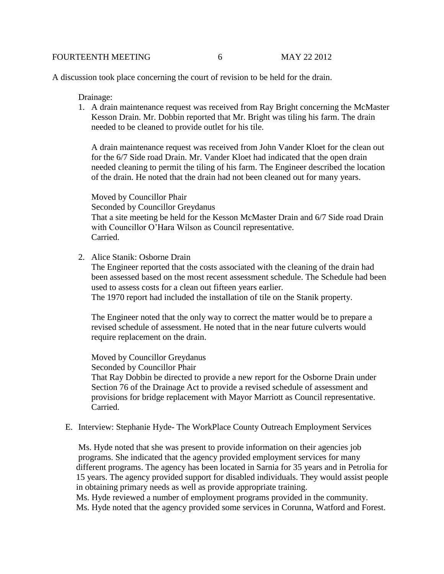A discussion took place concerning the court of revision to be held for the drain.

Drainage:

1. A drain maintenance request was received from Ray Bright concerning the McMaster Kesson Drain. Mr. Dobbin reported that Mr. Bright was tiling his farm. The drain needed to be cleaned to provide outlet for his tile.

A drain maintenance request was received from John Vander Kloet for the clean out for the 6/7 Side road Drain. Mr. Vander Kloet had indicated that the open drain needed cleaning to permit the tiling of his farm. The Engineer described the location of the drain. He noted that the drain had not been cleaned out for many years.

Moved by Councillor Phair Seconded by Councillor Greydanus That a site meeting be held for the Kesson McMaster Drain and 6/7 Side road Drain with Councillor O'Hara Wilson as Council representative. Carried.

2. Alice Stanik: Osborne Drain

The Engineer reported that the costs associated with the cleaning of the drain had been assessed based on the most recent assessment schedule. The Schedule had been used to assess costs for a clean out fifteen years earlier.

The 1970 report had included the installation of tile on the Stanik property.

 The Engineer noted that the only way to correct the matter would be to prepare a revised schedule of assessment. He noted that in the near future culverts would require replacement on the drain.

 Moved by Councillor Greydanus Seconded by Councillor Phair

 That Ray Dobbin be directed to provide a new report for the Osborne Drain under Section 76 of the Drainage Act to provide a revised schedule of assessment and provisions for bridge replacement with Mayor Marriott as Council representative. Carried.

E. Interview: Stephanie Hyde- The WorkPlace County Outreach Employment Services

 Ms. Hyde noted that she was present to provide information on their agencies job programs. She indicated that the agency provided employment services for many different programs. The agency has been located in Sarnia for 35 years and in Petrolia for 15 years. The agency provided support for disabled individuals. They would assist people in obtaining primary needs as well as provide appropriate training. Ms. Hyde reviewed a number of employment programs provided in the community.

Ms. Hyde noted that the agency provided some services in Corunna, Watford and Forest.